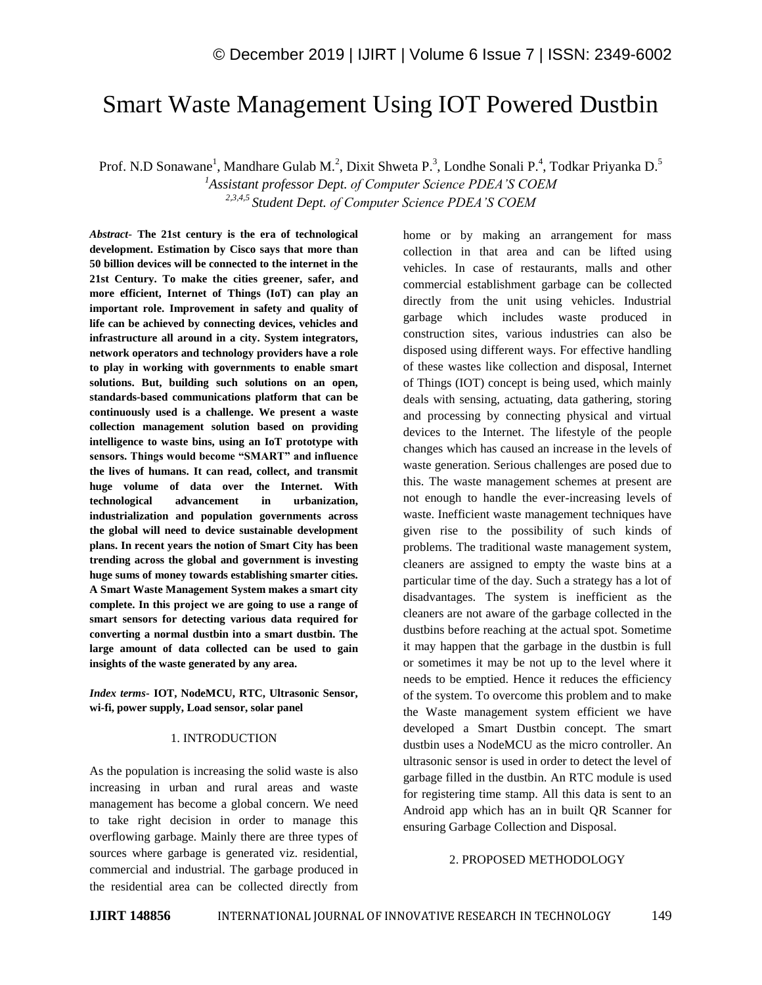# Smart Waste Management Using IOT Powered Dustbin

Prof. N.D Sonawane<sup>1</sup>, Mandhare Gulab M.<sup>2</sup>, Dixit Shweta P.<sup>3</sup>, Londhe Sonali P.<sup>4</sup>, Todkar Priyanka D.<sup>5</sup>

*<sup>1</sup>Assistant professor Dept. of Computer Science PDEA'S COEM 2,3,4,5 Student Dept. of Computer Science PDEA'S COEM*

*Abstract*- **The 21st century is the era of technological development. Estimation by Cisco says that more than 50 billion devices will be connected to the internet in the 21st Century. To make the cities greener, safer, and more efficient, Internet of Things (IoT) can play an important role. Improvement in safety and quality of life can be achieved by connecting devices, vehicles and infrastructure all around in a city. System integrators, network operators and technology providers have a role to play in working with governments to enable smart solutions. But, building such solutions on an open, standards-based communications platform that can be continuously used is a challenge. We present a waste collection management solution based on providing intelligence to waste bins, using an IoT prototype with sensors. Things would become "SMART" and influence the lives of humans. It can read, collect, and transmit huge volume of data over the Internet. With technological advancement in urbanization, industrialization and population governments across the global will need to device sustainable development plans. In recent years the notion of Smart City has been trending across the global and government is investing huge sums of money towards establishing smarter cities. A Smart Waste Management System makes a smart city complete. In this project we are going to use a range of smart sensors for detecting various data required for converting a normal dustbin into a smart dustbin. The large amount of data collected can be used to gain insights of the waste generated by any area.**

*Index terms***- IOT, NodeMCU, RTC, Ultrasonic Sensor, wi-fi, power supply, Load sensor, solar panel**

#### 1. INTRODUCTION

As the population is increasing the solid waste is also increasing in urban and rural areas and waste management has become a global concern. We need to take right decision in order to manage this overflowing garbage. Mainly there are three types of sources where garbage is generated viz. residential, commercial and industrial. The garbage produced in the residential area can be collected directly from home or by making an arrangement for mass collection in that area and can be lifted using vehicles. In case of restaurants, malls and other commercial establishment garbage can be collected directly from the unit using vehicles. Industrial garbage which includes waste produced in construction sites, various industries can also be disposed using different ways. For effective handling of these wastes like collection and disposal, Internet of Things (IOT) concept is being used, which mainly deals with sensing, actuating, data gathering, storing and processing by connecting physical and virtual devices to the Internet. The lifestyle of the people changes which has caused an increase in the levels of waste generation. Serious challenges are posed due to this. The waste management schemes at present are not enough to handle the ever-increasing levels of waste. Inefficient waste management techniques have given rise to the possibility of such kinds of problems. The traditional waste management system, cleaners are assigned to empty the waste bins at a particular time of the day. Such a strategy has a lot of disadvantages. The system is inefficient as the cleaners are not aware of the garbage collected in the dustbins before reaching at the actual spot. Sometime it may happen that the garbage in the dustbin is full or sometimes it may be not up to the level where it needs to be emptied. Hence it reduces the efficiency of the system. To overcome this problem and to make the Waste management system efficient we have developed a Smart Dustbin concept. The smart dustbin uses a NodeMCU as the micro controller. An ultrasonic sensor is used in order to detect the level of garbage filled in the dustbin. An RTC module is used for registering time stamp. All this data is sent to an Android app which has an in built QR Scanner for ensuring Garbage Collection and Disposal.

#### 2. PROPOSED METHODOLOGY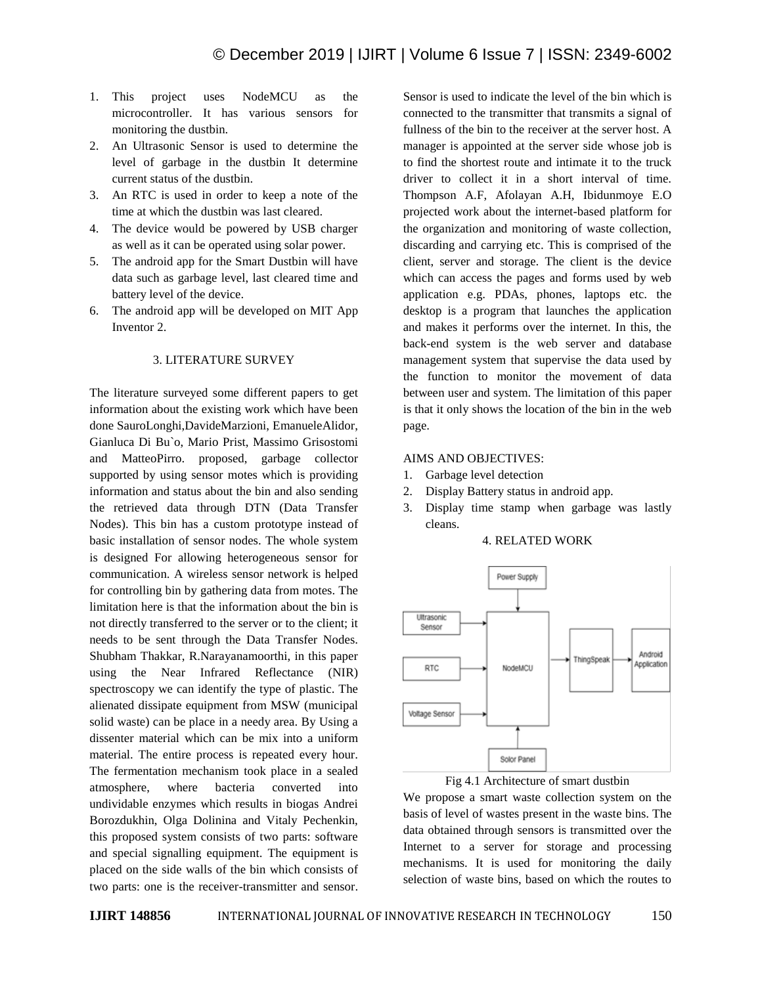- 1. This project uses NodeMCU as the microcontroller. It has various sensors for monitoring the dustbin.
- 2. An Ultrasonic Sensor is used to determine the level of garbage in the dustbin It determine current status of the dustbin.
- 3. An RTC is used in order to keep a note of the time at which the dustbin was last cleared.
- 4. The device would be powered by USB charger as well as it can be operated using solar power.
- 5. The android app for the Smart Dustbin will have data such as garbage level, last cleared time and battery level of the device.
- 6. The android app will be developed on MIT App Inventor 2.

#### 3. LITERATURE SURVEY

The literature surveyed some different papers to get information about the existing work which have been done SauroLonghi,DavideMarzioni, EmanueleAlidor, Gianluca Di Bu`o, Mario Prist, Massimo Grisostomi and MatteoPirro. proposed, garbage collector supported by using sensor motes which is providing information and status about the bin and also sending the retrieved data through DTN (Data Transfer Nodes). This bin has a custom prototype instead of basic installation of sensor nodes. The whole system is designed For allowing heterogeneous sensor for communication. A wireless sensor network is helped for controlling bin by gathering data from motes. The limitation here is that the information about the bin is not directly transferred to the server or to the client; it needs to be sent through the Data Transfer Nodes. Shubham Thakkar, R.Narayanamoorthi, in this paper using the Near Infrared Reflectance (NIR) spectroscopy we can identify the type of plastic. The alienated dissipate equipment from MSW (municipal solid waste) can be place in a needy area. By Using a dissenter material which can be mix into a uniform material. The entire process is repeated every hour. The fermentation mechanism took place in a sealed atmosphere, where bacteria converted into undividable enzymes which results in biogas Andrei Borozdukhin, Olga Dolinina and Vitaly Pechenkin, this proposed system consists of two parts: software and special signalling equipment. The equipment is placed on the side walls of the bin which consists of two parts: one is the receiver-transmitter and sensor. Sensor is used to indicate the level of the bin which is connected to the transmitter that transmits a signal of fullness of the bin to the receiver at the server host. A manager is appointed at the server side whose job is to find the shortest route and intimate it to the truck driver to collect it in a short interval of time. Thompson A.F, Afolayan A.H, Ibidunmoye E.O projected work about the internet-based platform for the organization and monitoring of waste collection, discarding and carrying etc. This is comprised of the client, server and storage. The client is the device which can access the pages and forms used by web application e.g. PDAs, phones, laptops etc. the desktop is a program that launches the application and makes it performs over the internet. In this, the back-end system is the web server and database management system that supervise the data used by the function to monitor the movement of data between user and system. The limitation of this paper is that it only shows the location of the bin in the web page.

#### AIMS AND OBJECTIVES:

- 1. Garbage level detection
- 2. Display Battery status in android app.
- 3. Display time stamp when garbage was lastly cleans.

#### 4. RELATED WORK





We propose a smart waste collection system on the basis of level of wastes present in the waste bins. The data obtained through sensors is transmitted over the Internet to a server for storage and processing mechanisms. It is used for monitoring the daily selection of waste bins, based on which the routes to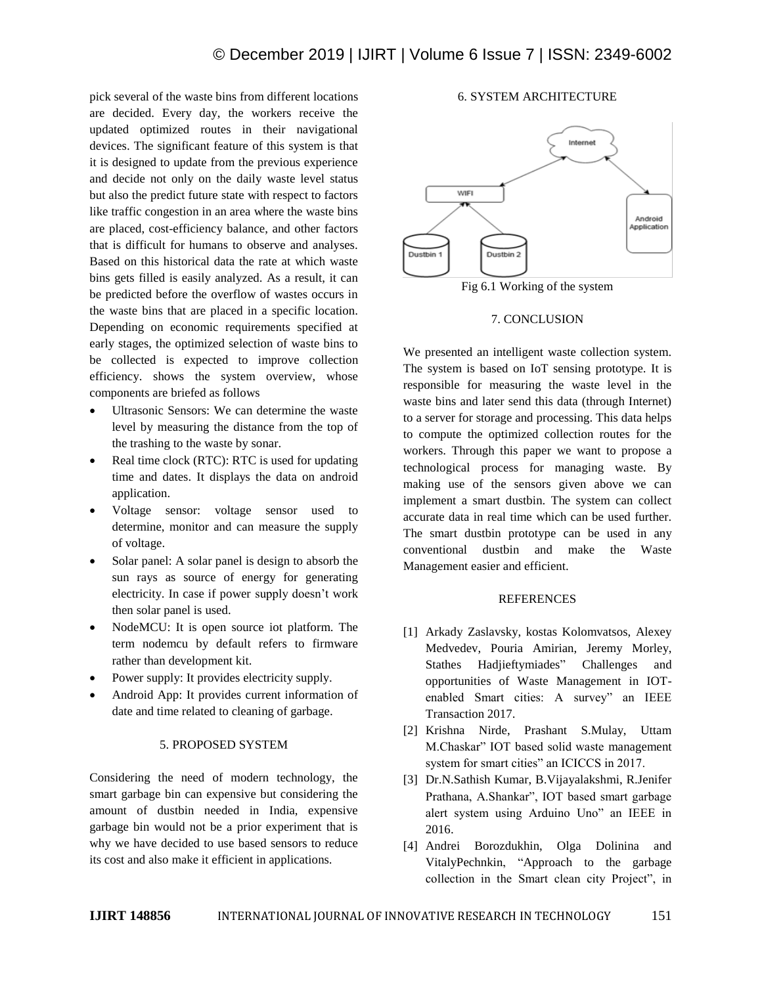pick several of the waste bins from different locations are decided. Every day, the workers receive the updated optimized routes in their navigational devices. The significant feature of this system is that it is designed to update from the previous experience and decide not only on the daily waste level status but also the predict future state with respect to factors like traffic congestion in an area where the waste bins are placed, cost-efficiency balance, and other factors that is difficult for humans to observe and analyses. Based on this historical data the rate at which waste bins gets filled is easily analyzed. As a result, it can be predicted before the overflow of wastes occurs in the waste bins that are placed in a specific location. Depending on economic requirements specified at early stages, the optimized selection of waste bins to be collected is expected to improve collection efficiency. shows the system overview, whose components are briefed as follows

- Ultrasonic Sensors: We can determine the waste level by measuring the distance from the top of the trashing to the waste by sonar.
- Real time clock (RTC): RTC is used for updating time and dates. It displays the data on android application.
- Voltage sensor: voltage sensor used to determine, monitor and can measure the supply of voltage.
- Solar panel: A solar panel is design to absorb the sun rays as source of energy for generating electricity. In case if power supply doesn't work then solar panel is used.
- NodeMCU: It is open source iot platform. The term nodemcu by default refers to firmware rather than development kit.
- Power supply: It provides electricity supply.
- Android App: It provides current information of date and time related to cleaning of garbage.

#### 5. PROPOSED SYSTEM

Considering the need of modern technology, the smart garbage bin can expensive but considering the amount of dustbin needed in India, expensive garbage bin would not be a prior experiment that is why we have decided to use based sensors to reduce its cost and also make it efficient in applications.

## 6. SYSTEM ARCHITECTURE



Fig 6.1 Working of the system

#### 7. CONCLUSION

We presented an intelligent waste collection system. The system is based on IoT sensing prototype. It is responsible for measuring the waste level in the waste bins and later send this data (through Internet) to a server for storage and processing. This data helps to compute the optimized collection routes for the workers. Through this paper we want to propose a technological process for managing waste. By making use of the sensors given above we can implement a smart dustbin. The system can collect accurate data in real time which can be used further. The smart dustbin prototype can be used in any conventional dustbin and make the Waste Management easier and efficient.

### **REFERENCES**

- [1] Arkady Zaslavsky, kostas Kolomvatsos, Alexey Medvedev, Pouria Amirian, Jeremy Morley, Stathes Hadjieftymiades" Challenges and opportunities of Waste Management in IOTenabled Smart cities: A survey" an IEEE Transaction 2017.
- [2] Krishna Nirde, Prashant S.Mulay, Uttam M.Chaskar" IOT based solid waste management system for smart cities" an ICICCS in 2017.
- [3] Dr.N.Sathish Kumar, B.Vijayalakshmi, R.Jenifer Prathana, A.Shankar", IOT based smart garbage alert system using Arduino Uno" an IEEE in 2016.
- [4] Andrei Borozdukhin, Olga Dolinina and VitalyPechnkin, "Approach to the garbage collection in the Smart clean city Project", in